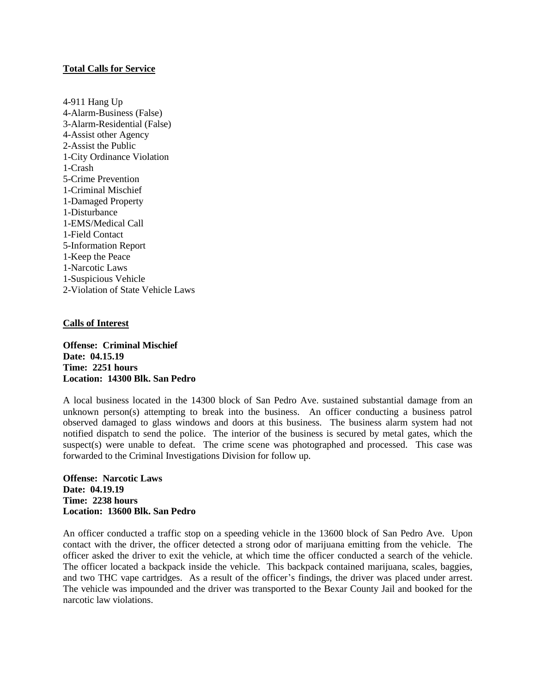# **Total Calls for Service**

4-911 Hang Up 4-Alarm-Business (False) 3-Alarm-Residential (False) 4-Assist other Agency 2-Assist the Public 1-City Ordinance Violation 1-Crash 5-Crime Prevention 1-Criminal Mischief 1-Damaged Property 1-Disturbance 1-EMS/Medical Call 1-Field Contact 5-Information Report 1-Keep the Peace 1-Narcotic Laws 1-Suspicious Vehicle 2-Violation of State Vehicle Laws

### **Calls of Interest**

**Offense: Criminal Mischief Date: 04.15.19 Time: 2251 hours Location: 14300 Blk. San Pedro**

A local business located in the 14300 block of San Pedro Ave. sustained substantial damage from an unknown person(s) attempting to break into the business. An officer conducting a business patrol observed damaged to glass windows and doors at this business. The business alarm system had not notified dispatch to send the police. The interior of the business is secured by metal gates, which the suspect(s) were unable to defeat. The crime scene was photographed and processed. This case was forwarded to the Criminal Investigations Division for follow up.

**Offense: Narcotic Laws Date: 04.19.19 Time: 2238 hours Location: 13600 Blk. San Pedro**

An officer conducted a traffic stop on a speeding vehicle in the 13600 block of San Pedro Ave. Upon contact with the driver, the officer detected a strong odor of marijuana emitting from the vehicle. The officer asked the driver to exit the vehicle, at which time the officer conducted a search of the vehicle. The officer located a backpack inside the vehicle. This backpack contained marijuana, scales, baggies, and two THC vape cartridges. As a result of the officer's findings, the driver was placed under arrest. The vehicle was impounded and the driver was transported to the Bexar County Jail and booked for the narcotic law violations.